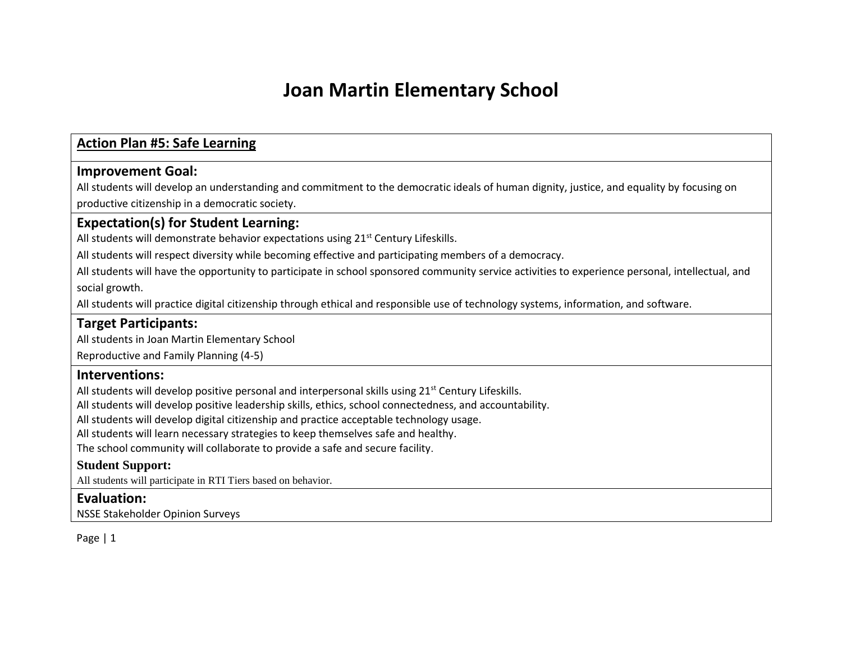### **Action Plan #5: Safe Learning**

### **Improvement Goal:**

All students will develop an understanding and commitment to the democratic ideals of human dignity, justice, and equality by focusing on productive citizenship in a democratic society.

### **Expectation(s) for Student Learning:**

All students will demonstrate behavior expectations using 21<sup>st</sup> Century Lifeskills.

All students will respect diversity while becoming effective and participating members of a democracy.

All students will have the opportunity to participate in school sponsored community service activities to experience personal, intellectual, and social growth.

All students will practice digital citizenship through ethical and responsible use of technology systems, information, and software.

### **Target Participants:**

All students in Joan Martin Elementary School

Reproductive and Family Planning (4-5)

### **Interventions:**

All students will develop positive personal and interpersonal skills using  $21^{st}$  Century Lifeskills.

All students will develop positive leadership skills, ethics, school connectedness, and accountability.

All students will develop digital citizenship and practice acceptable technology usage.

All students will learn necessary strategies to keep themselves safe and healthy.

The school community will collaborate to provide a safe and secure facility.

### **Student Support:**

All students will participate in RTI Tiers based on behavior.

### **Evaluation:**

NSSE Stakeholder Opinion Surveys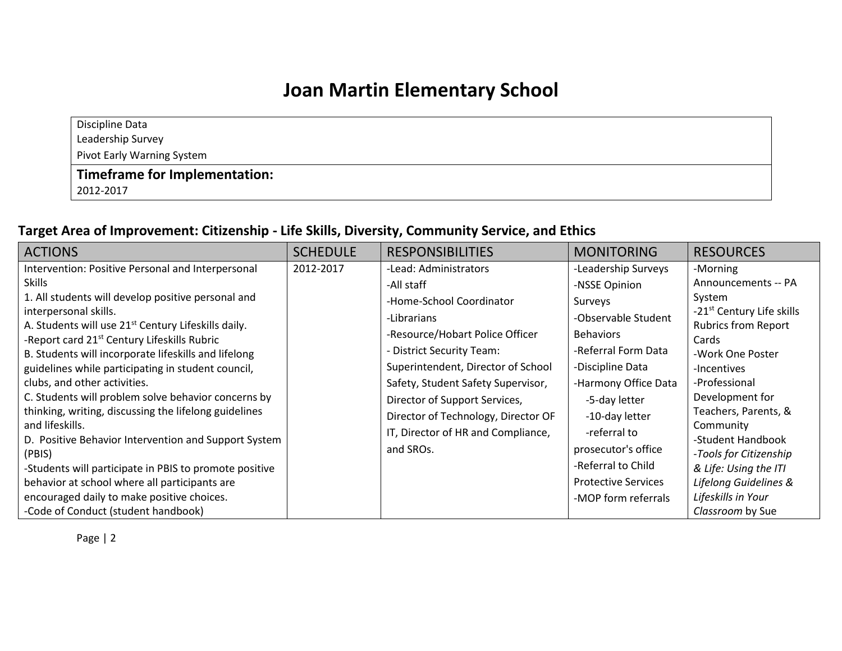Discipline Data Leadership Survey

Pivot Early Warning System

### **Timeframe for Implementation:**

2012-2017

### **Target Area of Improvement: Citizenship - Life Skills, Diversity, Community Service, and Ethics**

| <b>ACTIONS</b>                                                                                                                                                                                                                                                                                                                                                                                                                                                                                                                                                                                             | <b>SCHEDULE</b> | <b>RESPONSIBILITIES</b>                                                                                                                                                                                                                                             | <b>MONITORING</b>                                                                                                                                                                                                                        | <b>RESOURCES</b>                                                                                                                                                                                                                                             |
|------------------------------------------------------------------------------------------------------------------------------------------------------------------------------------------------------------------------------------------------------------------------------------------------------------------------------------------------------------------------------------------------------------------------------------------------------------------------------------------------------------------------------------------------------------------------------------------------------------|-----------------|---------------------------------------------------------------------------------------------------------------------------------------------------------------------------------------------------------------------------------------------------------------------|------------------------------------------------------------------------------------------------------------------------------------------------------------------------------------------------------------------------------------------|--------------------------------------------------------------------------------------------------------------------------------------------------------------------------------------------------------------------------------------------------------------|
| Intervention: Positive Personal and Interpersonal<br><b>Skills</b><br>1. All students will develop positive personal and<br>interpersonal skills.<br>A. Students will use 21 <sup>st</sup> Century Lifeskills daily.                                                                                                                                                                                                                                                                                                                                                                                       | 2012-2017       | -Lead: Administrators<br>-All staff<br>-Home-School Coordinator<br>-Librarians                                                                                                                                                                                      | -Leadership Surveys<br>-NSSE Opinion<br>Surveys<br>-Observable Student                                                                                                                                                                   | -Morning<br>Announcements -- PA<br>System<br>-21 <sup>st</sup> Century Life skills<br><b>Rubrics from Report</b>                                                                                                                                             |
| -Report card 21 <sup>st</sup> Century Lifeskills Rubric<br>B. Students will incorporate lifeskills and lifelong<br>guidelines while participating in student council,<br>clubs, and other activities.<br>C. Students will problem solve behavior concerns by<br>thinking, writing, discussing the lifelong guidelines<br>and lifeskills.<br>D. Positive Behavior Intervention and Support System<br>(PBIS)<br>-Students will participate in PBIS to promote positive<br>behavior at school where all participants are<br>encouraged daily to make positive choices.<br>-Code of Conduct (student handbook) |                 | -Resource/Hobart Police Officer<br>- District Security Team:<br>Superintendent, Director of School<br>Safety, Student Safety Supervisor,<br>Director of Support Services,<br>Director of Technology, Director OF<br>IT, Director of HR and Compliance,<br>and SROs. | <b>Behaviors</b><br>-Referral Form Data<br>-Discipline Data<br>-Harmony Office Data<br>-5-day letter<br>-10-day letter<br>-referral to<br>prosecutor's office<br>-Referral to Child<br><b>Protective Services</b><br>-MOP form referrals | Cards<br>-Work One Poster<br>-Incentives<br>-Professional<br>Development for<br>Teachers, Parents, &<br>Community<br>-Student Handbook<br>-Tools for Citizenship<br>& Life: Using the ITI<br>Lifelong Guidelines &<br>Lifeskills in Your<br>Classroom by Sue |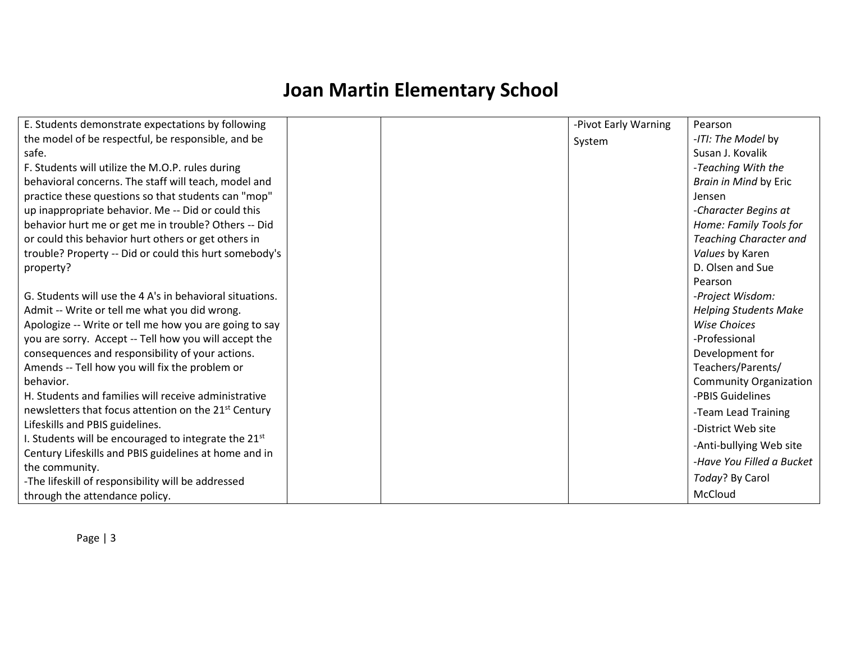| E. Students demonstrate expectations by following                | -Pivot Early Warning | Pearson                       |
|------------------------------------------------------------------|----------------------|-------------------------------|
| the model of be respectful, be responsible, and be               | System               | -ITI: The Model by            |
| safe.                                                            |                      | Susan J. Kovalik              |
| F. Students will utilize the M.O.P. rules during                 |                      | -Teaching With the            |
| behavioral concerns. The staff will teach, model and             |                      | Brain in Mind by Eric         |
| practice these questions so that students can "mop"              |                      | Jensen                        |
| up inappropriate behavior. Me -- Did or could this               |                      | -Character Begins at          |
| behavior hurt me or get me in trouble? Others -- Did             |                      | Home: Family Tools for        |
| or could this behavior hurt others or get others in              |                      | <b>Teaching Character and</b> |
| trouble? Property -- Did or could this hurt somebody's           |                      | Values by Karen               |
| property?                                                        |                      | D. Olsen and Sue              |
|                                                                  |                      | Pearson                       |
| G. Students will use the 4 A's in behavioral situations.         |                      | -Project Wisdom:              |
| Admit -- Write or tell me what you did wrong.                    |                      | <b>Helping Students Make</b>  |
| Apologize -- Write or tell me how you are going to say           |                      | <b>Wise Choices</b>           |
| you are sorry. Accept -- Tell how you will accept the            |                      | -Professional                 |
| consequences and responsibility of your actions.                 |                      | Development for               |
| Amends -- Tell how you will fix the problem or                   |                      | Teachers/Parents/             |
| behavior.                                                        |                      | <b>Community Organization</b> |
| H. Students and families will receive administrative             |                      | -PBIS Guidelines              |
| newsletters that focus attention on the 21 <sup>st</sup> Century |                      | -Team Lead Training           |
| Lifeskills and PBIS guidelines.                                  |                      | -District Web site            |
| I. Students will be encouraged to integrate the 21st             |                      | -Anti-bullying Web site       |
| Century Lifeskills and PBIS guidelines at home and in            |                      | -Have You Filled a Bucket     |
| the community.                                                   |                      |                               |
| -The lifeskill of responsibility will be addressed               |                      | Today? By Carol               |
| through the attendance policy.                                   |                      | McCloud                       |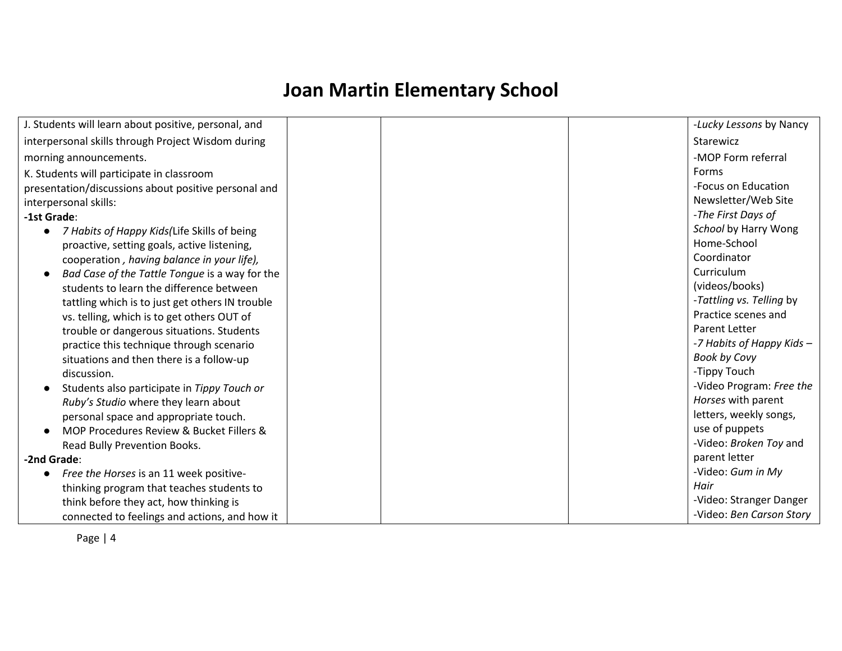| J. Students will learn about positive, personal, and<br>-Lucky Lessons by Nancy<br>interpersonal skills through Project Wisdom during<br>Starewicz<br>-MOP Form referral<br>morning announcements.<br>Forms<br>K. Students will participate in classroom<br>-Focus on Education<br>presentation/discussions about positive personal and<br>Newsletter/Web Site<br>interpersonal skills:<br>-The First Days of<br>-1st Grade:<br>School by Harry Wong<br>7 Habits of Happy Kids(Life Skills of being<br>Home-School<br>proactive, setting goals, active listening,<br>Coordinator<br>cooperation, having balance in your life),<br>Curriculum<br>Bad Case of the Tattle Tongue is a way for the<br>(videos/books)<br>students to learn the difference between<br>-Tattling vs. Telling by<br>tattling which is to just get others IN trouble<br>Practice scenes and<br>vs. telling, which is to get others OUT of<br><b>Parent Letter</b><br>trouble or dangerous situations. Students<br>-7 Habits of Happy Kids -<br>practice this technique through scenario<br><b>Book by Covy</b><br>situations and then there is a follow-up<br>-Tippy Touch<br>discussion.<br>-Video Program: Free the<br>Students also participate in Tippy Touch or<br>Horses with parent<br>Ruby's Studio where they learn about<br>letters, weekly songs,<br>personal space and appropriate touch.<br>use of puppets<br>MOP Procedures Review & Bucket Fillers &<br>-Video: Broken Toy and<br>Read Bully Prevention Books.<br>parent letter<br>-2nd Grade:<br>-Video: Gum in My<br>Free the Horses is an 11 week positive-<br>$\bullet$<br>Hair<br>thinking program that teaches students to<br>-Video: Stranger Danger<br>think before they act, how thinking is<br>-Video: Ben Carson Story |                                               |  |
|-------------------------------------------------------------------------------------------------------------------------------------------------------------------------------------------------------------------------------------------------------------------------------------------------------------------------------------------------------------------------------------------------------------------------------------------------------------------------------------------------------------------------------------------------------------------------------------------------------------------------------------------------------------------------------------------------------------------------------------------------------------------------------------------------------------------------------------------------------------------------------------------------------------------------------------------------------------------------------------------------------------------------------------------------------------------------------------------------------------------------------------------------------------------------------------------------------------------------------------------------------------------------------------------------------------------------------------------------------------------------------------------------------------------------------------------------------------------------------------------------------------------------------------------------------------------------------------------------------------------------------------------------------------------------------------------------------------------------------------------------------------------------|-----------------------------------------------|--|
|                                                                                                                                                                                                                                                                                                                                                                                                                                                                                                                                                                                                                                                                                                                                                                                                                                                                                                                                                                                                                                                                                                                                                                                                                                                                                                                                                                                                                                                                                                                                                                                                                                                                                                                                                                         |                                               |  |
|                                                                                                                                                                                                                                                                                                                                                                                                                                                                                                                                                                                                                                                                                                                                                                                                                                                                                                                                                                                                                                                                                                                                                                                                                                                                                                                                                                                                                                                                                                                                                                                                                                                                                                                                                                         |                                               |  |
|                                                                                                                                                                                                                                                                                                                                                                                                                                                                                                                                                                                                                                                                                                                                                                                                                                                                                                                                                                                                                                                                                                                                                                                                                                                                                                                                                                                                                                                                                                                                                                                                                                                                                                                                                                         |                                               |  |
|                                                                                                                                                                                                                                                                                                                                                                                                                                                                                                                                                                                                                                                                                                                                                                                                                                                                                                                                                                                                                                                                                                                                                                                                                                                                                                                                                                                                                                                                                                                                                                                                                                                                                                                                                                         |                                               |  |
|                                                                                                                                                                                                                                                                                                                                                                                                                                                                                                                                                                                                                                                                                                                                                                                                                                                                                                                                                                                                                                                                                                                                                                                                                                                                                                                                                                                                                                                                                                                                                                                                                                                                                                                                                                         |                                               |  |
|                                                                                                                                                                                                                                                                                                                                                                                                                                                                                                                                                                                                                                                                                                                                                                                                                                                                                                                                                                                                                                                                                                                                                                                                                                                                                                                                                                                                                                                                                                                                                                                                                                                                                                                                                                         |                                               |  |
|                                                                                                                                                                                                                                                                                                                                                                                                                                                                                                                                                                                                                                                                                                                                                                                                                                                                                                                                                                                                                                                                                                                                                                                                                                                                                                                                                                                                                                                                                                                                                                                                                                                                                                                                                                         |                                               |  |
|                                                                                                                                                                                                                                                                                                                                                                                                                                                                                                                                                                                                                                                                                                                                                                                                                                                                                                                                                                                                                                                                                                                                                                                                                                                                                                                                                                                                                                                                                                                                                                                                                                                                                                                                                                         |                                               |  |
|                                                                                                                                                                                                                                                                                                                                                                                                                                                                                                                                                                                                                                                                                                                                                                                                                                                                                                                                                                                                                                                                                                                                                                                                                                                                                                                                                                                                                                                                                                                                                                                                                                                                                                                                                                         |                                               |  |
|                                                                                                                                                                                                                                                                                                                                                                                                                                                                                                                                                                                                                                                                                                                                                                                                                                                                                                                                                                                                                                                                                                                                                                                                                                                                                                                                                                                                                                                                                                                                                                                                                                                                                                                                                                         |                                               |  |
|                                                                                                                                                                                                                                                                                                                                                                                                                                                                                                                                                                                                                                                                                                                                                                                                                                                                                                                                                                                                                                                                                                                                                                                                                                                                                                                                                                                                                                                                                                                                                                                                                                                                                                                                                                         |                                               |  |
|                                                                                                                                                                                                                                                                                                                                                                                                                                                                                                                                                                                                                                                                                                                                                                                                                                                                                                                                                                                                                                                                                                                                                                                                                                                                                                                                                                                                                                                                                                                                                                                                                                                                                                                                                                         |                                               |  |
|                                                                                                                                                                                                                                                                                                                                                                                                                                                                                                                                                                                                                                                                                                                                                                                                                                                                                                                                                                                                                                                                                                                                                                                                                                                                                                                                                                                                                                                                                                                                                                                                                                                                                                                                                                         |                                               |  |
|                                                                                                                                                                                                                                                                                                                                                                                                                                                                                                                                                                                                                                                                                                                                                                                                                                                                                                                                                                                                                                                                                                                                                                                                                                                                                                                                                                                                                                                                                                                                                                                                                                                                                                                                                                         |                                               |  |
|                                                                                                                                                                                                                                                                                                                                                                                                                                                                                                                                                                                                                                                                                                                                                                                                                                                                                                                                                                                                                                                                                                                                                                                                                                                                                                                                                                                                                                                                                                                                                                                                                                                                                                                                                                         |                                               |  |
|                                                                                                                                                                                                                                                                                                                                                                                                                                                                                                                                                                                                                                                                                                                                                                                                                                                                                                                                                                                                                                                                                                                                                                                                                                                                                                                                                                                                                                                                                                                                                                                                                                                                                                                                                                         |                                               |  |
|                                                                                                                                                                                                                                                                                                                                                                                                                                                                                                                                                                                                                                                                                                                                                                                                                                                                                                                                                                                                                                                                                                                                                                                                                                                                                                                                                                                                                                                                                                                                                                                                                                                                                                                                                                         |                                               |  |
|                                                                                                                                                                                                                                                                                                                                                                                                                                                                                                                                                                                                                                                                                                                                                                                                                                                                                                                                                                                                                                                                                                                                                                                                                                                                                                                                                                                                                                                                                                                                                                                                                                                                                                                                                                         |                                               |  |
|                                                                                                                                                                                                                                                                                                                                                                                                                                                                                                                                                                                                                                                                                                                                                                                                                                                                                                                                                                                                                                                                                                                                                                                                                                                                                                                                                                                                                                                                                                                                                                                                                                                                                                                                                                         |                                               |  |
|                                                                                                                                                                                                                                                                                                                                                                                                                                                                                                                                                                                                                                                                                                                                                                                                                                                                                                                                                                                                                                                                                                                                                                                                                                                                                                                                                                                                                                                                                                                                                                                                                                                                                                                                                                         |                                               |  |
|                                                                                                                                                                                                                                                                                                                                                                                                                                                                                                                                                                                                                                                                                                                                                                                                                                                                                                                                                                                                                                                                                                                                                                                                                                                                                                                                                                                                                                                                                                                                                                                                                                                                                                                                                                         |                                               |  |
|                                                                                                                                                                                                                                                                                                                                                                                                                                                                                                                                                                                                                                                                                                                                                                                                                                                                                                                                                                                                                                                                                                                                                                                                                                                                                                                                                                                                                                                                                                                                                                                                                                                                                                                                                                         |                                               |  |
|                                                                                                                                                                                                                                                                                                                                                                                                                                                                                                                                                                                                                                                                                                                                                                                                                                                                                                                                                                                                                                                                                                                                                                                                                                                                                                                                                                                                                                                                                                                                                                                                                                                                                                                                                                         |                                               |  |
|                                                                                                                                                                                                                                                                                                                                                                                                                                                                                                                                                                                                                                                                                                                                                                                                                                                                                                                                                                                                                                                                                                                                                                                                                                                                                                                                                                                                                                                                                                                                                                                                                                                                                                                                                                         |                                               |  |
|                                                                                                                                                                                                                                                                                                                                                                                                                                                                                                                                                                                                                                                                                                                                                                                                                                                                                                                                                                                                                                                                                                                                                                                                                                                                                                                                                                                                                                                                                                                                                                                                                                                                                                                                                                         |                                               |  |
|                                                                                                                                                                                                                                                                                                                                                                                                                                                                                                                                                                                                                                                                                                                                                                                                                                                                                                                                                                                                                                                                                                                                                                                                                                                                                                                                                                                                                                                                                                                                                                                                                                                                                                                                                                         |                                               |  |
|                                                                                                                                                                                                                                                                                                                                                                                                                                                                                                                                                                                                                                                                                                                                                                                                                                                                                                                                                                                                                                                                                                                                                                                                                                                                                                                                                                                                                                                                                                                                                                                                                                                                                                                                                                         |                                               |  |
|                                                                                                                                                                                                                                                                                                                                                                                                                                                                                                                                                                                                                                                                                                                                                                                                                                                                                                                                                                                                                                                                                                                                                                                                                                                                                                                                                                                                                                                                                                                                                                                                                                                                                                                                                                         | connected to feelings and actions, and how it |  |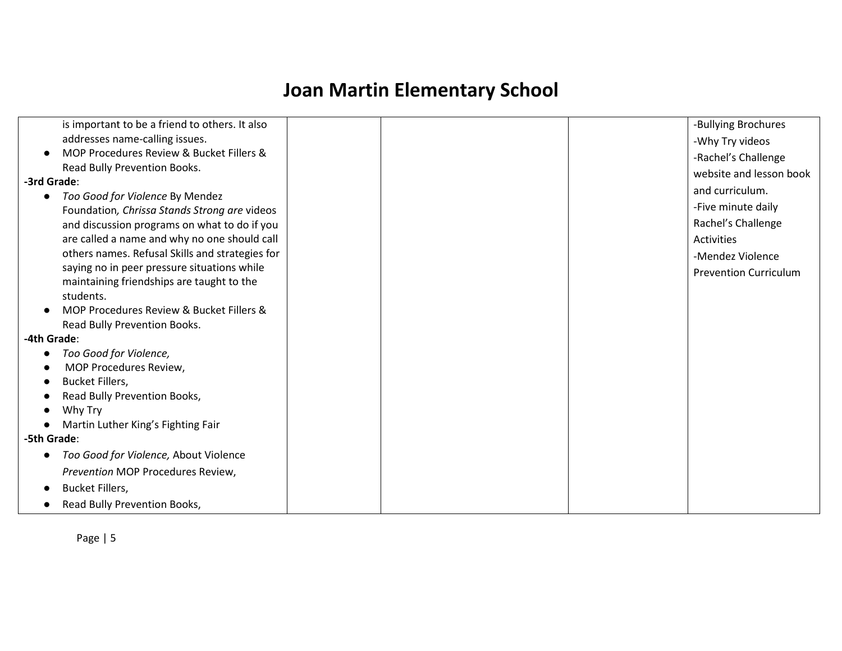| -Bullying Brochures          |
|------------------------------|
| -Why Try videos              |
| -Rachel's Challenge          |
| website and lesson book      |
| and curriculum.              |
|                              |
| -Five minute daily           |
| Rachel's Challenge           |
| Activities                   |
| -Mendez Violence             |
| <b>Prevention Curriculum</b> |
|                              |
|                              |
|                              |
|                              |
|                              |
|                              |
|                              |
|                              |
|                              |
|                              |
|                              |
|                              |
|                              |
|                              |
|                              |
|                              |
|                              |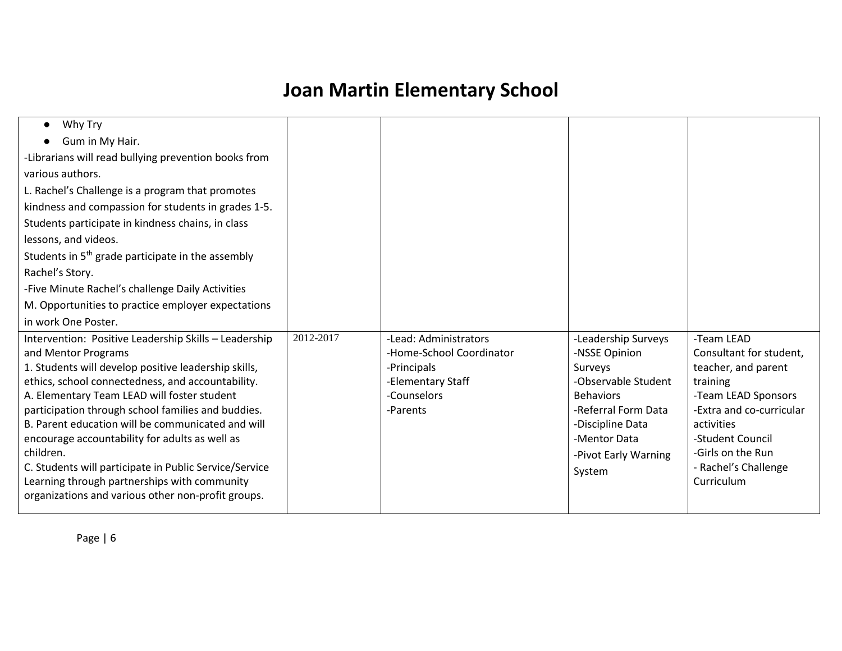| Why Try<br>$\bullet$                                   |           |                          |                      |                          |
|--------------------------------------------------------|-----------|--------------------------|----------------------|--------------------------|
| Gum in My Hair.                                        |           |                          |                      |                          |
| -Librarians will read bullying prevention books from   |           |                          |                      |                          |
| various authors.                                       |           |                          |                      |                          |
| L. Rachel's Challenge is a program that promotes       |           |                          |                      |                          |
| kindness and compassion for students in grades 1-5.    |           |                          |                      |                          |
| Students participate in kindness chains, in class      |           |                          |                      |                          |
| lessons, and videos.                                   |           |                          |                      |                          |
| Students in $5th$ grade participate in the assembly    |           |                          |                      |                          |
| Rachel's Story.                                        |           |                          |                      |                          |
| -Five Minute Rachel's challenge Daily Activities       |           |                          |                      |                          |
| M. Opportunities to practice employer expectations     |           |                          |                      |                          |
| in work One Poster.                                    |           |                          |                      |                          |
| Intervention: Positive Leadership Skills - Leadership  | 2012-2017 | -Lead: Administrators    | -Leadership Surveys  | -Team LEAD               |
| and Mentor Programs                                    |           | -Home-School Coordinator | -NSSE Opinion        | Consultant for student,  |
| 1. Students will develop positive leadership skills,   |           | -Principals              | Surveys              | teacher, and parent      |
| ethics, school connectedness, and accountability.      |           | -Elementary Staff        | -Observable Student  | training                 |
| A. Elementary Team LEAD will foster student            |           | -Counselors              | <b>Behaviors</b>     | -Team LEAD Sponsors      |
| participation through school families and buddies.     |           | -Parents                 | -Referral Form Data  | -Extra and co-curricular |
| B. Parent education will be communicated and will      |           |                          | -Discipline Data     | activities               |
| encourage accountability for adults as well as         |           |                          | -Mentor Data         | -Student Council         |
| children.                                              |           |                          | -Pivot Early Warning | -Girls on the Run        |
| C. Students will participate in Public Service/Service |           |                          | System               | - Rachel's Challenge     |
| Learning through partnerships with community           |           |                          |                      | Curriculum               |
| organizations and various other non-profit groups.     |           |                          |                      |                          |
|                                                        |           |                          |                      |                          |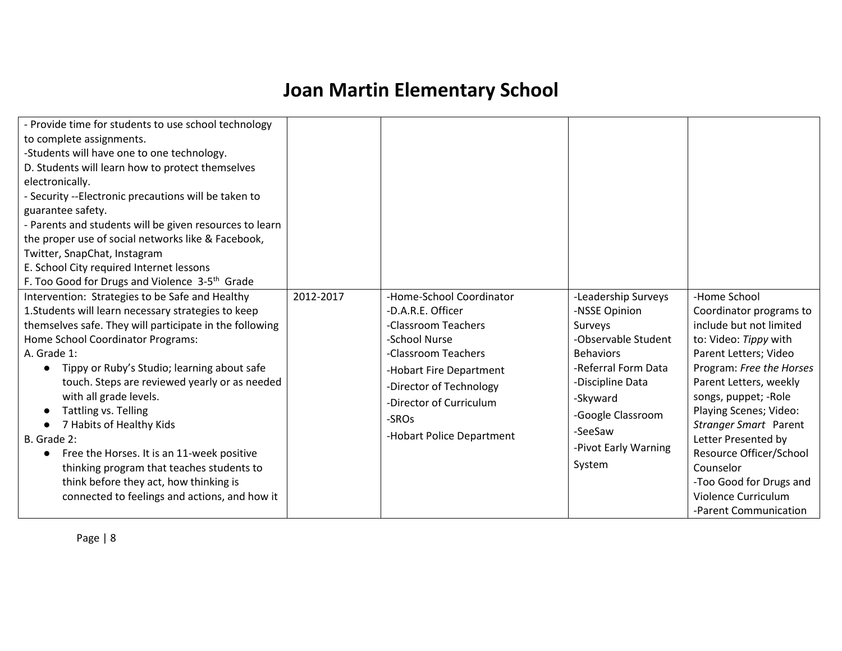| - Provide time for students to use school technology<br>to complete assignments.<br>-Students will have one to one technology.<br>D. Students will learn how to protect themselves<br>electronically.<br>- Security --Electronic precautions will be taken to<br>guarantee safety.<br>- Parents and students will be given resources to learn<br>the proper use of social networks like & Facebook,<br>Twitter, SnapChat, Instagram<br>E. School City required Internet lessons<br>F. Too Good for Drugs and Violence 3-5 <sup>th</sup> Grade<br>Intervention: Strategies to be Safe and Healthy<br>1. Students will learn necessary strategies to keep<br>themselves safe. They will participate in the following<br>Home School Coordinator Programs:<br>A. Grade 1:<br>Tippy or Ruby's Studio; learning about safe<br>touch. Steps are reviewed yearly or as needed<br>with all grade levels.<br>Tattling vs. Telling<br>7 Habits of Healthy Kids<br>$\bullet$<br>B. Grade 2:<br>Free the Horses. It is an 11-week positive<br>thinking program that teaches students to | 2012-2017 | -Home-School Coordinator<br>-D.A.R.E. Officer<br>-Classroom Teachers<br>-School Nurse<br>-Classroom Teachers<br>-Hobart Fire Department<br>-Director of Technology<br>-Director of Curriculum<br>-SRO <sub>S</sub><br>-Hobart Police Department | -Leadership Surveys<br>-NSSE Opinion<br>Surveys<br>-Observable Student<br><b>Behaviors</b><br>-Referral Form Data<br>-Discipline Data<br>-Skyward<br>-Google Classroom<br>-SeeSaw<br>-Pivot Early Warning<br>System | -Home School<br>Coordinator programs to<br>include but not limited<br>to: Video: Tippy with<br>Parent Letters; Video<br>Program: Free the Horses<br>Parent Letters, weekly<br>songs, puppet; -Role<br>Playing Scenes; Video:<br>Stranger Smart Parent<br>Letter Presented by<br>Resource Officer/School<br>Counselor |
|-----------------------------------------------------------------------------------------------------------------------------------------------------------------------------------------------------------------------------------------------------------------------------------------------------------------------------------------------------------------------------------------------------------------------------------------------------------------------------------------------------------------------------------------------------------------------------------------------------------------------------------------------------------------------------------------------------------------------------------------------------------------------------------------------------------------------------------------------------------------------------------------------------------------------------------------------------------------------------------------------------------------------------------------------------------------------------|-----------|-------------------------------------------------------------------------------------------------------------------------------------------------------------------------------------------------------------------------------------------------|---------------------------------------------------------------------------------------------------------------------------------------------------------------------------------------------------------------------|----------------------------------------------------------------------------------------------------------------------------------------------------------------------------------------------------------------------------------------------------------------------------------------------------------------------|
| think before they act, how thinking is<br>connected to feelings and actions, and how it                                                                                                                                                                                                                                                                                                                                                                                                                                                                                                                                                                                                                                                                                                                                                                                                                                                                                                                                                                                     |           |                                                                                                                                                                                                                                                 |                                                                                                                                                                                                                     | -Too Good for Drugs and<br>Violence Curriculum<br>-Parent Communication                                                                                                                                                                                                                                              |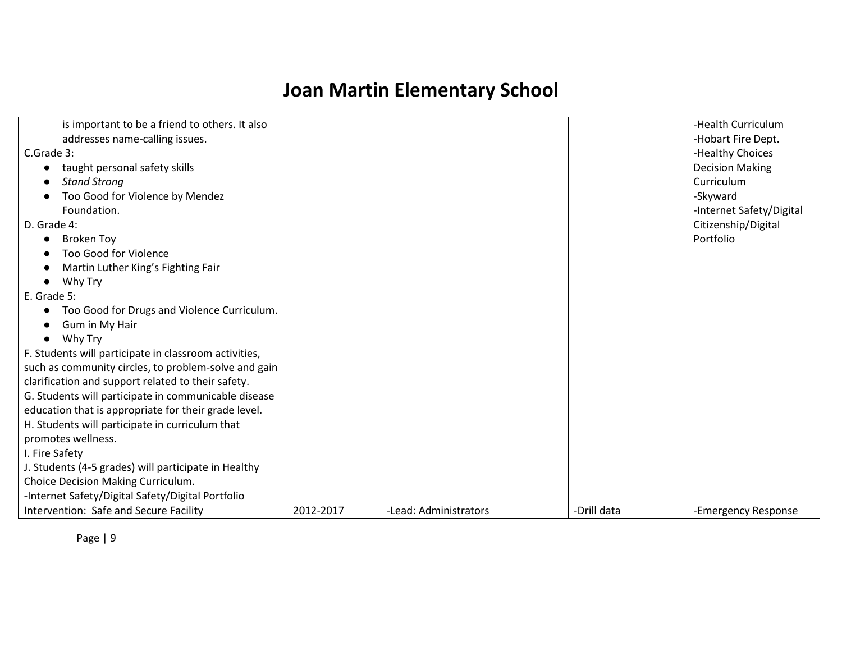| Intervention: Safe and Secure Facility                | 2012-2017 | -Lead: Administrators | -Drill data | -Emergency Response      |
|-------------------------------------------------------|-----------|-----------------------|-------------|--------------------------|
| -Internet Safety/Digital Safety/Digital Portfolio     |           |                       |             |                          |
| Choice Decision Making Curriculum.                    |           |                       |             |                          |
| J. Students (4-5 grades) will participate in Healthy  |           |                       |             |                          |
| I. Fire Safety                                        |           |                       |             |                          |
| promotes wellness.                                    |           |                       |             |                          |
| H. Students will participate in curriculum that       |           |                       |             |                          |
| education that is appropriate for their grade level.  |           |                       |             |                          |
| G. Students will participate in communicable disease  |           |                       |             |                          |
| clarification and support related to their safety.    |           |                       |             |                          |
| such as community circles, to problem-solve and gain  |           |                       |             |                          |
| F. Students will participate in classroom activities, |           |                       |             |                          |
| Why Try<br>$\bullet$                                  |           |                       |             |                          |
| Gum in My Hair                                        |           |                       |             |                          |
| Too Good for Drugs and Violence Curriculum.           |           |                       |             |                          |
| E. Grade 5:                                           |           |                       |             |                          |
| Why Try                                               |           |                       |             |                          |
| Martin Luther King's Fighting Fair                    |           |                       |             |                          |
| <b>Too Good for Violence</b>                          |           |                       |             |                          |
| <b>Broken Toy</b>                                     |           |                       |             | Portfolio                |
| D. Grade 4:                                           |           |                       |             | Citizenship/Digital      |
| Foundation.                                           |           |                       |             | -Internet Safety/Digital |
| Too Good for Violence by Mendez                       |           |                       |             | -Skyward                 |
| <b>Stand Strong</b>                                   |           |                       |             | Curriculum               |
| taught personal safety skills                         |           |                       |             | <b>Decision Making</b>   |
| C.Grade 3:                                            |           |                       |             | -Healthy Choices         |
| addresses name-calling issues.                        |           |                       |             | -Hobart Fire Dept.       |
| is important to be a friend to others. It also        |           |                       |             | -Health Curriculum       |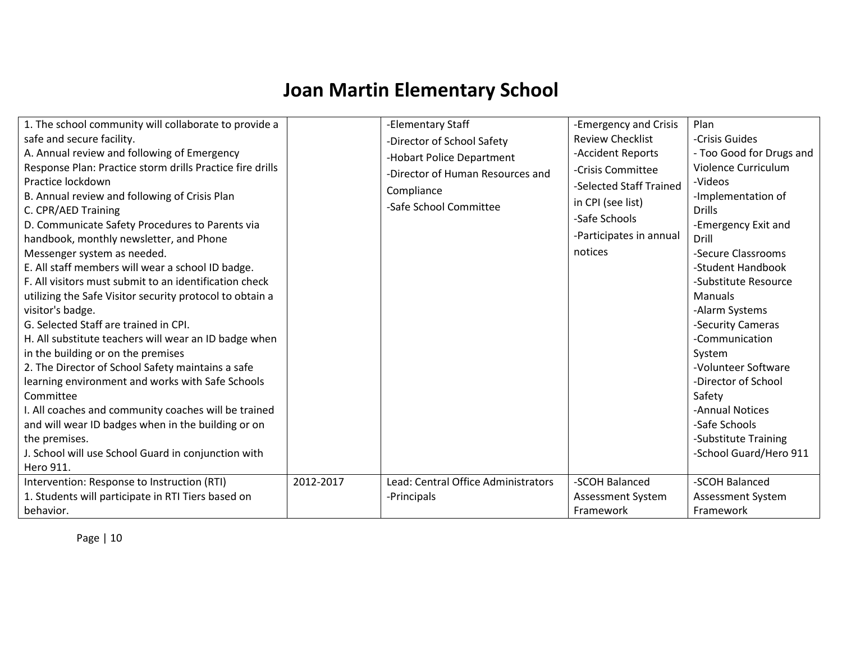| 1. The school community will collaborate to provide a<br>safe and secure facility.<br>A. Annual review and following of Emergency<br>Response Plan: Practice storm drills Practice fire drills<br>Practice lockdown<br>B. Annual review and following of Crisis Plan<br>C. CPR/AED Training<br>D. Communicate Safety Procedures to Parents via<br>handbook, monthly newsletter, and Phone<br>Messenger system as needed.<br>E. All staff members will wear a school ID badge.<br>F. All visitors must submit to an identification check<br>utilizing the Safe Visitor security protocol to obtain a<br>visitor's badge.<br>G. Selected Staff are trained in CPI.<br>H. All substitute teachers will wear an ID badge when<br>in the building or on the premises<br>2. The Director of School Safety maintains a safe<br>learning environment and works with Safe Schools<br>Committee<br>I. All coaches and community coaches will be trained<br>and will wear ID badges when in the building or on<br>the premises.<br>J. School will use School Guard in conjunction with<br>Hero 911. |           | -Elementary Staff<br>-Director of School Safety<br>-Hobart Police Department<br>-Director of Human Resources and<br>Compliance<br>-Safe School Committee | -Emergency and Crisis<br><b>Review Checklist</b><br>-Accident Reports<br>-Crisis Committee<br>-Selected Staff Trained<br>in CPI (see list)<br>-Safe Schools<br>-Participates in annual<br>notices | Plan<br>-Crisis Guides<br>- Too Good for Drugs and<br>Violence Curriculum<br>-Videos<br>-Implementation of<br><b>Drills</b><br>-Emergency Exit and<br>Drill<br>-Secure Classrooms<br>-Student Handbook<br>-Substitute Resource<br><b>Manuals</b><br>-Alarm Systems<br>-Security Cameras<br>-Communication<br>System<br>-Volunteer Software<br>-Director of School<br>Safety<br>-Annual Notices<br>-Safe Schools<br>-Substitute Training<br>-School Guard/Hero 911 |
|------------------------------------------------------------------------------------------------------------------------------------------------------------------------------------------------------------------------------------------------------------------------------------------------------------------------------------------------------------------------------------------------------------------------------------------------------------------------------------------------------------------------------------------------------------------------------------------------------------------------------------------------------------------------------------------------------------------------------------------------------------------------------------------------------------------------------------------------------------------------------------------------------------------------------------------------------------------------------------------------------------------------------------------------------------------------------------------|-----------|----------------------------------------------------------------------------------------------------------------------------------------------------------|---------------------------------------------------------------------------------------------------------------------------------------------------------------------------------------------------|-------------------------------------------------------------------------------------------------------------------------------------------------------------------------------------------------------------------------------------------------------------------------------------------------------------------------------------------------------------------------------------------------------------------------------------------------------------------|
| Intervention: Response to Instruction (RTI)<br>1. Students will participate in RTI Tiers based on<br>behavior.                                                                                                                                                                                                                                                                                                                                                                                                                                                                                                                                                                                                                                                                                                                                                                                                                                                                                                                                                                           | 2012-2017 | Lead: Central Office Administrators<br>-Principals                                                                                                       | -SCOH Balanced<br>Assessment System<br>Framework                                                                                                                                                  | -SCOH Balanced<br>Assessment System<br>Framework                                                                                                                                                                                                                                                                                                                                                                                                                  |